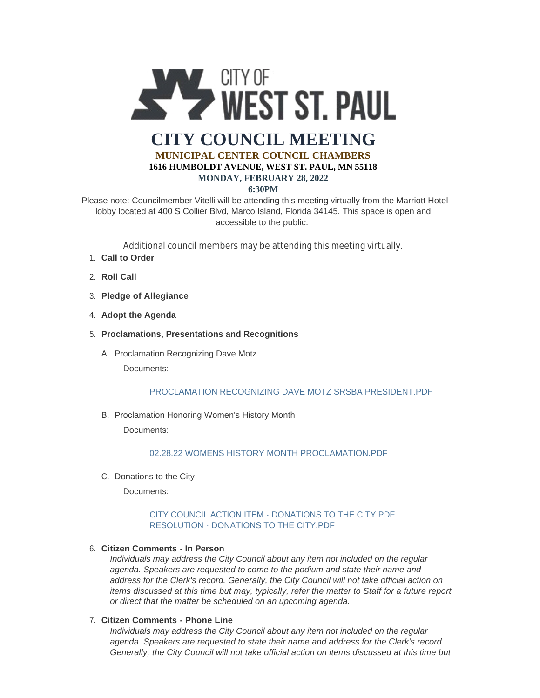

# **6:30PM**

Please note: Councilmember Vitelli will be attending this meeting virtually from the Marriott Hotel lobby located at 400 S Collier Blvd, Marco Island, Florida 34145. This space is open and accessible to the public.

Additional council members may be attending this meeting virtually.

- **Call to Order** 1.
- 2. **Roll Call**
- **Pledge of Allegiance** 3.
- 4. Adopt the Agenda
- **Proclamations, Presentations and Recognitions** 5.
	- A. Proclamation Recognizing Dave Motz

Documents:

### PROCLAMATION RECOGNIZING DAVE MOTZ SRSBA PRESIDENT PDE

B. Proclamation Honoring Women's History Month

Documents:

### 02.28.22 WOMENS HISTORY MONTH PROCLAMATION PDF

C. Donations to the City

Documents:

### [CITY COUNCIL ACTION ITEM - DONATIONS TO THE CITY.PDF](https://www.wspmn.gov/AgendaCenter/ViewFile/Item/12588?fileID=19585) [RESOLUTION - DONATIONS TO THE CITY.PDF](https://www.wspmn.gov/AgendaCenter/ViewFile/Item/12588?fileID=19586)

### **Citizen Comments - In Person** 6.

*Individuals may address the City Council about any item not included on the regular agenda. Speakers are requested to come to the podium and state their name and address for the Clerk's record. Generally, the City Council will not take official action on items discussed at this time but may, typically, refer the matter to Staff for a future report or direct that the matter be scheduled on an upcoming agenda.*

### **Citizen Comments - Phone Line** 7.

*Individuals may address the City Council about any item not included on the regular agenda. Speakers are requested to state their name and address for the Clerk's record. Generally, the City Council will not take official action on items discussed at this time but*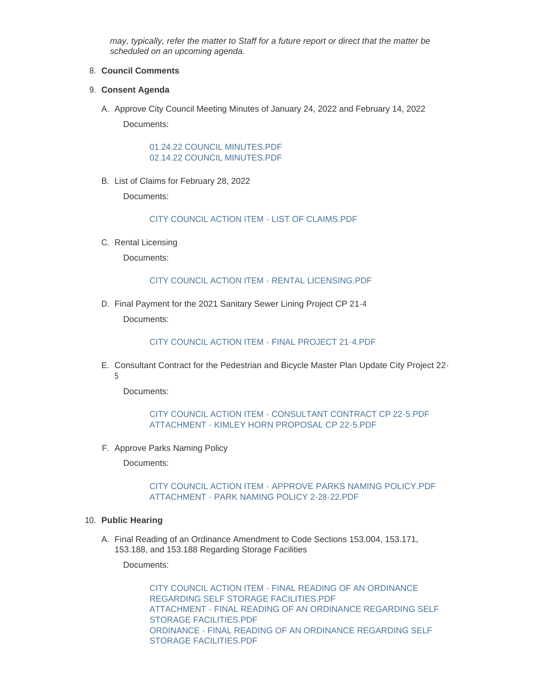*may, typically, refer the matter to Staff for a future report or direct that the matter be scheduled on an upcoming agenda.*

# **Council Comments** 8.

# **Consent Agenda** 9.

A. Approve City Council Meeting Minutes of January 24, 2022 and February 14, 2022 Documents:

> [01.24.22 COUNCIL MINUTES.PDF](https://www.wspmn.gov/AgendaCenter/ViewFile/Item/12578?fileID=19609) [02.14.22 COUNCIL MINUTES.PDF](https://www.wspmn.gov/AgendaCenter/ViewFile/Item/12578?fileID=19566)

B. List of Claims for February 28, 2022

Documents:

[CITY COUNCIL ACTION ITEM - LIST OF CLAIMS.PDF](https://www.wspmn.gov/AgendaCenter/ViewFile/Item/12591?fileID=19584)

C. Rental Licensing

Documents:

### [CITY COUNCIL ACTION ITEM - RENTAL LICENSING.PDF](https://www.wspmn.gov/AgendaCenter/ViewFile/Item/12593?fileID=19595)

D. Final Payment for the 2021 Sanitary Sewer Lining Project CP 21-4 Documents:

### [CITY COUNCIL ACTION ITEM - FINAL PROJECT 21-4.PDF](https://www.wspmn.gov/AgendaCenter/ViewFile/Item/12579?fileID=19560)

E. Consultant Contract for the Pedestrian and Bicycle Master Plan Update City Project 22-5

Documents:

# [CITY COUNCIL ACTION ITEM - CONSULTANT CONTRACT CP 22-5.PDF](https://www.wspmn.gov/AgendaCenter/ViewFile/Item/12584?fileID=19574) [ATTACHMENT - KIMLEY HORN PROPOSAL CP 22-5.PDF](https://www.wspmn.gov/AgendaCenter/ViewFile/Item/12584?fileID=19575)

F. Approve Parks Naming Policy

Documents:

### [CITY COUNCIL ACTION ITEM - APPROVE PARKS NAMING POLICY.PDF](https://www.wspmn.gov/AgendaCenter/ViewFile/Item/12585?fileID=19577) [ATTACHMENT - PARK NAMING POLICY 2-28-22.PDF](https://www.wspmn.gov/AgendaCenter/ViewFile/Item/12585?fileID=19576)

### **Public Hearing** 10.

A. Final Reading of an Ordinance Amendment to Code Sections 153.004, 153.171, 153.188, and 153.188 Regarding Storage Facilities

Documents:

[CITY COUNCIL ACTION ITEM - FINAL READING OF AN ORDINANCE](https://www.wspmn.gov/AgendaCenter/ViewFile/Item/12571?fileID=19552)  REGARDING SELF STORAGE FACILITIES.PDF [ATTACHMENT - FINAL READING OF AN ORDINANCE REGARDING SELF](https://www.wspmn.gov/AgendaCenter/ViewFile/Item/12571?fileID=19551)  STORAGE FACILITIES.PDF [ORDINANCE - FINAL READING OF AN ORDINANCE REGARDING SELF](https://www.wspmn.gov/AgendaCenter/ViewFile/Item/12571?fileID=19553)  STORAGE FACILITIES.PDF